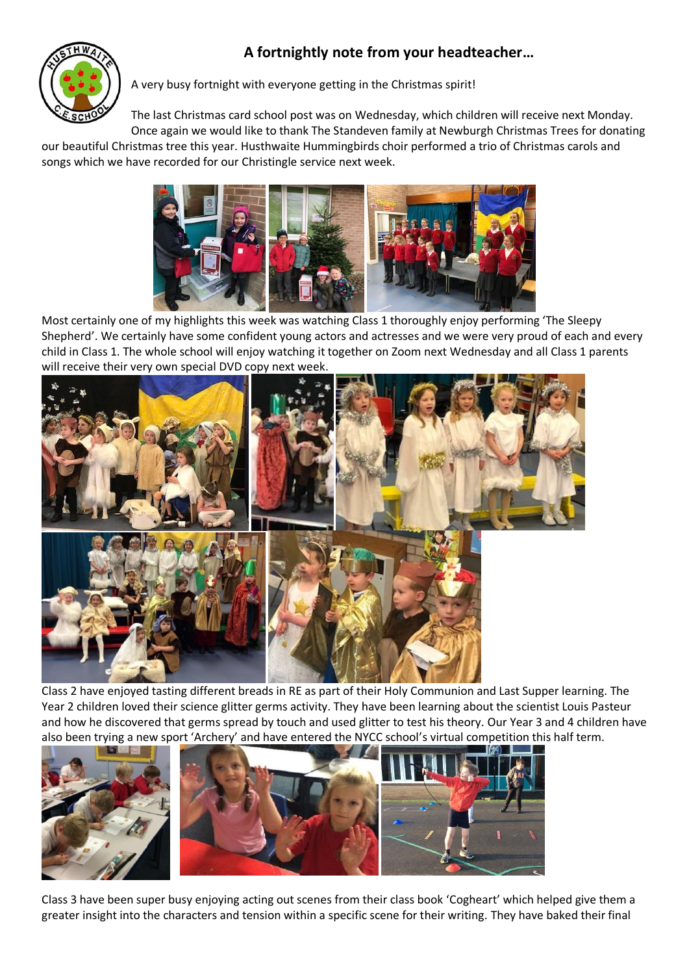## **A fortnightly note from your headteacher…**



A very busy fortnight with everyone getting in the Christmas spirit!

The last Christmas card school post was on Wednesday, which children will receive next Monday. Once again we would like to thank The Standeven family at Newburgh Christmas Trees for donating

our beautiful Christmas tree this year. Husthwaite Hummingbirds choir performed a trio of Christmas carols and songs which we have recorded for our Christingle service next week.



Most certainly one of my highlights this week was watching Class 1 thoroughly enjoy performing 'The Sleepy Shepherd'. We certainly have some confident young actors and actresses and we were very proud of each and every child in Class 1. The whole school will enjoy watching it together on Zoom next Wednesday and all Class 1 parents will receive their very own special DVD copy next week.



Class 2 have enjoyed tasting different breads in RE as part of their Holy Communion and Last Supper learning. The Year 2 children loved their science glitter germs activity. They have been learning about the scientist Louis Pasteur and how he discovered that germs spread by touch and used glitter to test his theory. Our Year 3 and 4 children have also been trying a new sport 'Archery' and have entered the NYCC school's virtual competition this half term.



Class 3 have been super busy enjoying acting out scenes from their class book 'Cogheart' which helped give them a greater insight into the characters and tension within a specific scene for their writing. They have baked their final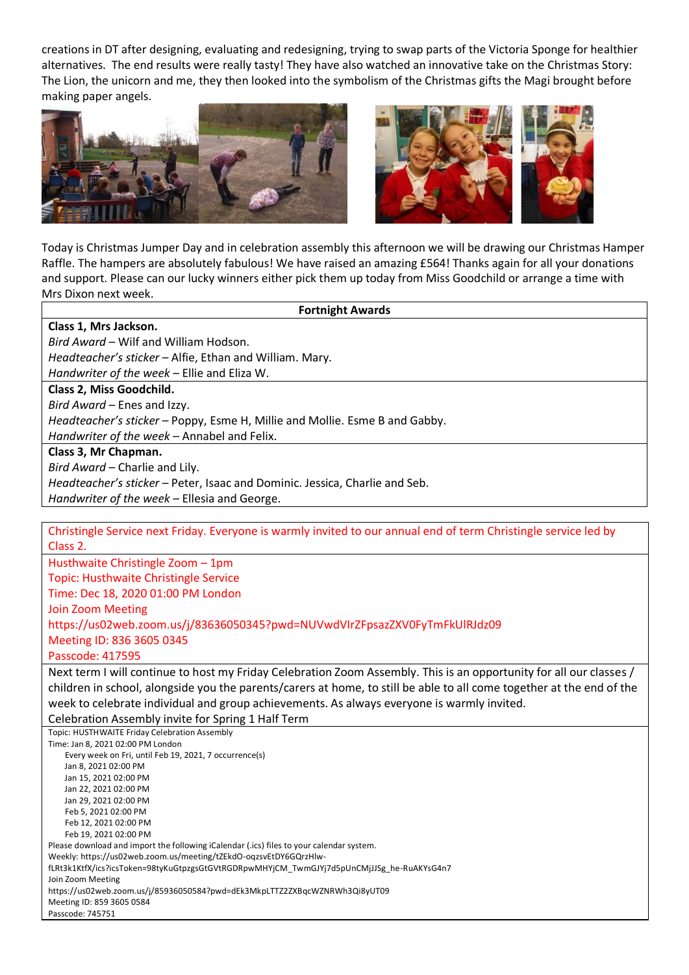creations in DT after designing, evaluating and redesigning, trying to swap parts of the Victoria Sponge for healthier alternatives. The end results were really tasty! They have also watched an innovative take on the Christmas Story: The Lion, the unicorn and me, they then looked into the symbolism of the Christmas gifts the Magi brought before making paper angels.





Today is Christmas Jumper Day and in celebration assembly this afternoon we will be drawing our Christmas Hamper Raffle. The hampers are absolutely fabulous! We have raised an amazing £564! Thanks again for all your donations and support. Please can our lucky winners either pick them up today from Miss Goodchild or arrange a time with Mrs Dixon next week.

| <b>Fortnight Awards</b>                                                     |  |
|-----------------------------------------------------------------------------|--|
| Class 1, Mrs Jackson.                                                       |  |
| Bird Award – Wilf and William Hodson.                                       |  |
| Headteacher's sticker - Alfie, Ethan and William. Mary.                     |  |
| Handwriter of the week - Ellie and Eliza W.                                 |  |
| Class 2, Miss Goodchild.                                                    |  |
| Bird Award – Enes and Izzy.                                                 |  |
| Headteacher's sticker - Poppy, Esme H, Millie and Mollie. Esme B and Gabby. |  |
| Handwriter of the week - Annabel and Felix.                                 |  |
| Class 3, Mr Chapman.                                                        |  |
| Bird Award - Charlie and Lily.                                              |  |
| Headteacher's sticker - Peter, Isaac and Dominic. Jessica, Charlie and Seb. |  |
| Handwriter of the week - Ellesia and George.                                |  |

Christingle Service next Friday. Everyone is warmly invited to our annual end of term Christingle service led by Class 2. Husthwaite Christingle Zoom – 1pm Topic: Husthwaite Christingle Service Time: Dec 18, 2020 01:00 PM London Join Zoom Meeting https://us02web.zoom.us/j/83636050345?pwd=NUVwdVIrZFpsazZXV0FyTmFkUlRJdz09 Meeting ID: 836 3605 0345

Passcode: 417595

Next term I will continue to host my Friday Celebration Zoom Assembly. This is an opportunity for all our classes / children in school, alongside you the parents/carers at home, to still be able to all come together at the end of the week to celebrate individual and group achievements. As always everyone is warmly invited.

Celebration Assembly invite for Spring 1 Half Term

Topic: HUSTHWAITE Friday Celebration Assembly Time: Jan 8, 2021 02:00 PM London Every week on Fri, until Feb 19, 2021, 7 occurrence(s) Jan 8, 2021 02:00 PM Jan 15, 2021 02:00 PM Jan 22, 2021 02:00 PM Jan 29, 2021 02:00 PM Feb 5, 2021 02:00 PM Feb 12, 2021 02:00 PM Feb 19, 2021 02:00 PM Please download and import the following iCalendar (.ics) files to your calendar system. Weekly: https://us02web.zoom.us/meeting/tZEkdO-oqzsvEtDY6GQrzHlwfLRt3k1KtfX/ics?icsToken=98tyKuGtpzgsGtGVtRGDRpwMHYjCM\_TwmGJYj7d5pUnCMjJJSg\_he-RuAKYsG4n7 Join Zoom Meeting https://us02web.zoom.us/j/85936050584?pwd=dEk3MkpLTTZ2ZXBqcWZNRWh3Qi8yUT09 Meeting ID: 859 3605 0584 Passcode: 745751